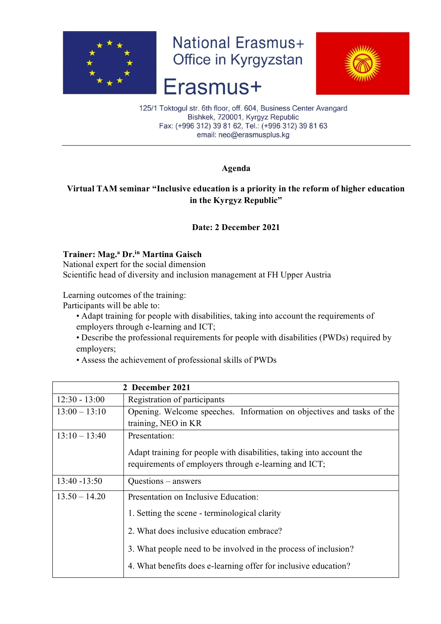

**National Erasmus+** Office in Kyrgyzstan

# Erasmus+



125/1 Toktogul str. 6th floor, off. 604, Business Center Avangard Bishkek, 720001, Kyrgyz Republic Fax: (+996 312) 39 81 62, Tel.: (+996 312) 39 81 63 email: neo@erasmusplus.kg

## **Agenda**

# **Virtual TAM seminar "Inclusive education is a priority in the reform of higher education in the Kyrgyz Republic"**

## **Date: 2 December 2021**

#### **Trainer: Mag.<sup>a</sup> Dr.in Martina Gaisch**

National expert for the social dimension Scientific head of diversity and inclusion management at FH Upper Austria

Learning outcomes of the training:

Participants will be able to:

- Adapt training for people with disabilities, taking into account the requirements of employers through e-learning and ICT;
- Describe the professional requirements for people with disabilities (PWDs) required by employers;
- Assess the achievement of professional skills of PWDs

| 2 December 2021 |                                                                                                                               |
|-----------------|-------------------------------------------------------------------------------------------------------------------------------|
| $12:30 - 13:00$ | Registration of participants                                                                                                  |
| $13:00 - 13:10$ | Opening. Welcome speeches. Information on objectives and tasks of the                                                         |
|                 | training, NEO in KR                                                                                                           |
| $13:10 - 13:40$ | Presentation:                                                                                                                 |
|                 | Adapt training for people with disabilities, taking into account the<br>requirements of employers through e-learning and ICT; |
| $13:40 - 13:50$ | $Questions - answers$                                                                                                         |
| $13.50 - 14.20$ | Presentation on Inclusive Education:                                                                                          |
|                 | 1. Setting the scene - terminological clarity                                                                                 |
|                 | 2. What does inclusive education embrace?                                                                                     |
|                 | 3. What people need to be involved in the process of inclusion?                                                               |
|                 | 4. What benefits does e-learning offer for inclusive education?                                                               |